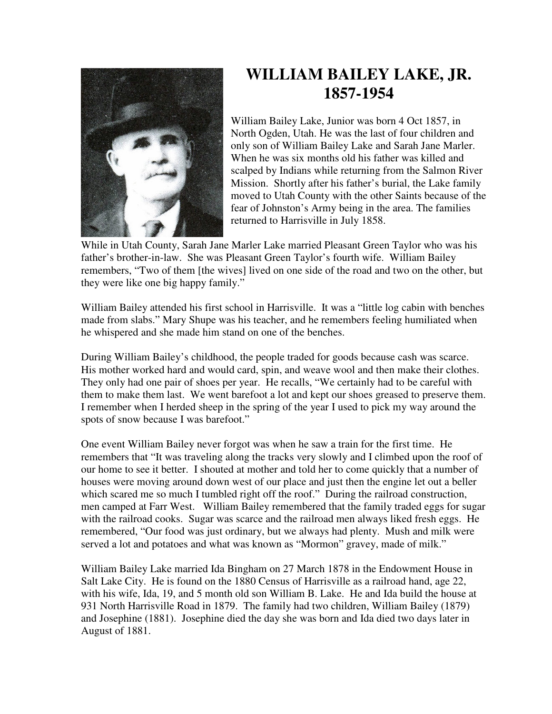

## **WILLIAM BAILEY LAKE, JR. 1857-1954**

William Bailey Lake, Junior was born 4 Oct 1857, in North Ogden, Utah. He was the last of four children and only son of William Bailey Lake and Sarah Jane Marler. When he was six months old his father was killed and scalped by Indians while returning from the Salmon River Mission. Shortly after his father's burial, the Lake family moved to Utah County with the other Saints because of the fear of Johnston's Army being in the area. The families returned to Harrisville in July 1858.

While in Utah County, Sarah Jane Marler Lake married Pleasant Green Taylor who was his father's brother-in-law. She was Pleasant Green Taylor's fourth wife. William Bailey remembers, "Two of them [the wives] lived on one side of the road and two on the other, but they were like one big happy family."

William Bailey attended his first school in Harrisville. It was a "little log cabin with benches made from slabs." Mary Shupe was his teacher, and he remembers feeling humiliated when he whispered and she made him stand on one of the benches.

During William Bailey's childhood, the people traded for goods because cash was scarce. His mother worked hard and would card, spin, and weave wool and then make their clothes. They only had one pair of shoes per year. He recalls, "We certainly had to be careful with them to make them last. We went barefoot a lot and kept our shoes greased to preserve them. I remember when I herded sheep in the spring of the year I used to pick my way around the spots of snow because I was barefoot."

One event William Bailey never forgot was when he saw a train for the first time. He remembers that "It was traveling along the tracks very slowly and I climbed upon the roof of our home to see it better. I shouted at mother and told her to come quickly that a number of houses were moving around down west of our place and just then the engine let out a beller which scared me so much I tumbled right off the roof." During the railroad construction, men camped at Farr West. William Bailey remembered that the family traded eggs for sugar with the railroad cooks. Sugar was scarce and the railroad men always liked fresh eggs. He remembered, "Our food was just ordinary, but we always had plenty. Mush and milk were served a lot and potatoes and what was known as "Mormon" gravey, made of milk."

William Bailey Lake married Ida Bingham on 27 March 1878 in the Endowment House in Salt Lake City. He is found on the 1880 Census of Harrisville as a railroad hand, age 22, with his wife, Ida, 19, and 5 month old son William B. Lake. He and Ida build the house at 931 North Harrisville Road in 1879. The family had two children, William Bailey (1879) and Josephine (1881). Josephine died the day she was born and Ida died two days later in August of 1881.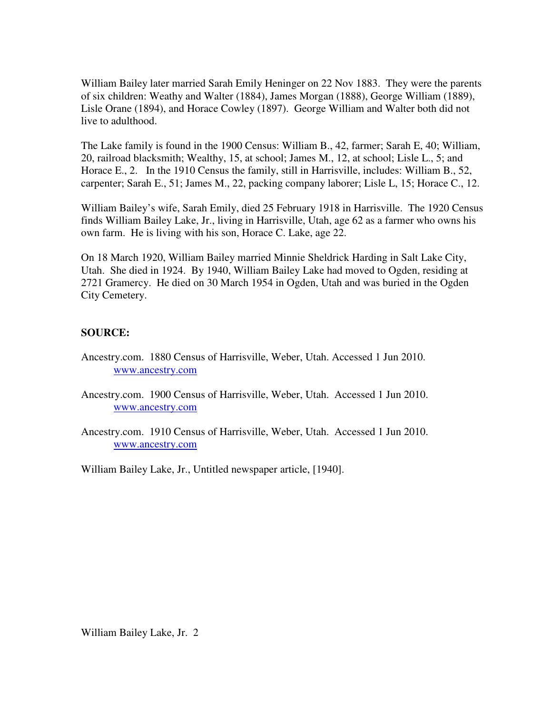William Bailey later married Sarah Emily Heninger on 22 Nov 1883. They were the parents of six children: Weathy and Walter (1884), James Morgan (1888), George William (1889), Lisle Orane (1894), and Horace Cowley (1897). George William and Walter both did not live to adulthood.

The Lake family is found in the 1900 Census: William B., 42, farmer; Sarah E, 40; William, 20, railroad blacksmith; Wealthy, 15, at school; James M., 12, at school; Lisle L., 5; and Horace E., 2. In the 1910 Census the family, still in Harrisville, includes: William B., 52, carpenter; Sarah E., 51; James M., 22, packing company laborer; Lisle L, 15; Horace C., 12.

William Bailey's wife, Sarah Emily, died 25 February 1918 in Harrisville. The 1920 Census finds William Bailey Lake, Jr., living in Harrisville, Utah, age 62 as a farmer who owns his own farm. He is living with his son, Horace C. Lake, age 22.

On 18 March 1920, William Bailey married Minnie Sheldrick Harding in Salt Lake City, Utah. She died in 1924. By 1940, William Bailey Lake had moved to Ogden, residing at 2721 Gramercy. He died on 30 March 1954 in Ogden, Utah and was buried in the Ogden City Cemetery.

## **SOURCE:**

- Ancestry.com. 1880 Census of Harrisville, Weber, Utah. Accessed 1 Jun 2010. www.ancestry.com
- Ancestry.com. 1900 Census of Harrisville, Weber, Utah. Accessed 1 Jun 2010. www.ancestry.com
- Ancestry.com. 1910 Census of Harrisville, Weber, Utah. Accessed 1 Jun 2010. www.ancestry.com

William Bailey Lake, Jr., Untitled newspaper article, [1940].